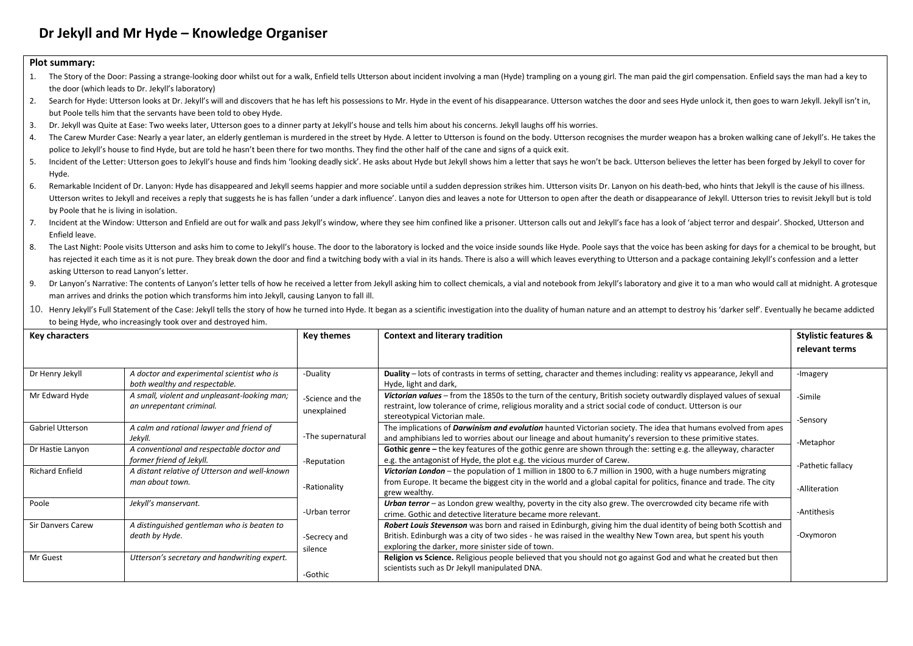## **Dr Jekyll and Mr Hyde – Knowledge Organiser**

## **Plot summary:**

| 1.                                                                                                                                                                                                                                   | The Story of the Door: Passing a strange-looking door whilst out for a walk, Enfield tells Utterson about incident involving a man (Hyde) trampling on a young girl. The man paid the girl compensation. Enfield says the man |                                                                    |                                       |                                                                                                                                                                                                                                |                   |  |  |  |  |  |
|--------------------------------------------------------------------------------------------------------------------------------------------------------------------------------------------------------------------------------------|-------------------------------------------------------------------------------------------------------------------------------------------------------------------------------------------------------------------------------|--------------------------------------------------------------------|---------------------------------------|--------------------------------------------------------------------------------------------------------------------------------------------------------------------------------------------------------------------------------|-------------------|--|--|--|--|--|
| the door (which leads to Dr. Jekyll's laboratory)                                                                                                                                                                                    |                                                                                                                                                                                                                               |                                                                    |                                       |                                                                                                                                                                                                                                |                   |  |  |  |  |  |
| Search for Hyde: Utterson looks at Dr. Jekyll's will and discovers that he has left his possessions to Mr. Hyde in the event of his disappearance. Utterson watches the door and sees Hyde unlock it, then goes to warn Jekyll<br>2. |                                                                                                                                                                                                                               |                                                                    |                                       |                                                                                                                                                                                                                                |                   |  |  |  |  |  |
|                                                                                                                                                                                                                                      |                                                                                                                                                                                                                               | but Poole tells him that the servants have been told to obey Hyde. |                                       |                                                                                                                                                                                                                                |                   |  |  |  |  |  |
| 3.                                                                                                                                                                                                                                   |                                                                                                                                                                                                                               |                                                                    |                                       | Dr. Jekyll was Quite at Ease: Two weeks later, Utterson goes to a dinner party at Jekyll's house and tells him about his concerns. Jekyll laughs off his worries.                                                              |                   |  |  |  |  |  |
| 4.                                                                                                                                                                                                                                   |                                                                                                                                                                                                                               |                                                                    |                                       | The Carew Murder Case: Nearly a year later, an elderly gentleman is murdered in the street by Hyde. A letter to Utterson is found on the body. Utterson recognises the murder weapon has a broken walking cane of Jekyll's. He |                   |  |  |  |  |  |
|                                                                                                                                                                                                                                      |                                                                                                                                                                                                                               |                                                                    |                                       | police to Jekyll's house to find Hyde, but are told he hasn't been there for two months. They find the other half of the cane and signs of a quick exit.                                                                       |                   |  |  |  |  |  |
| 5.                                                                                                                                                                                                                                   |                                                                                                                                                                                                                               |                                                                    |                                       | Incident of the Letter: Utterson goes to Jekyll's house and finds him 'looking deadly sick'. He asks about Hyde but Jekyll shows him a letter that says he won't be back. Utterson believes the letter has been forged by Jeky |                   |  |  |  |  |  |
|                                                                                                                                                                                                                                      | Hyde.                                                                                                                                                                                                                         |                                                                    |                                       |                                                                                                                                                                                                                                |                   |  |  |  |  |  |
| 6.                                                                                                                                                                                                                                   |                                                                                                                                                                                                                               |                                                                    |                                       | Remarkable Incident of Dr. Lanyon: Hyde has disappeared and Jekyll seems happier and more sociable until a sudden depression strikes him. Utterson visits Dr. Lanyon on his death-bed, who hints that Jekyll is the cause of h |                   |  |  |  |  |  |
| Utterson writes to Jekyll and receives a reply that suggests he is has fallen 'under a dark influence'. Lanyon dies and leaves a note for Utterson to open after the death or disappearance of Jekyll. Utterson tries to revis       |                                                                                                                                                                                                                               |                                                                    |                                       |                                                                                                                                                                                                                                |                   |  |  |  |  |  |
| by Poole that he is living in isolation.                                                                                                                                                                                             |                                                                                                                                                                                                                               |                                                                    |                                       |                                                                                                                                                                                                                                |                   |  |  |  |  |  |
| 7.                                                                                                                                                                                                                                   |                                                                                                                                                                                                                               |                                                                    |                                       | Incident at the Window: Utterson and Enfield are out for walk and pass Jekyll's window, where they see him confined like a prisoner. Utterson calls out and Jekyll's para Jeok of 'abject terror and despair'. Shocked, Utters |                   |  |  |  |  |  |
|                                                                                                                                                                                                                                      | Enfield leave.                                                                                                                                                                                                                |                                                                    |                                       |                                                                                                                                                                                                                                |                   |  |  |  |  |  |
| 8.                                                                                                                                                                                                                                   |                                                                                                                                                                                                                               |                                                                    |                                       | The Last Night: Poole visits Utterson and asks him to come to Jekyll's house. The door to the laboratory is locked and the voice inside sounds like Hyde. Poole says that the voice has been asking for days for a chemical to |                   |  |  |  |  |  |
|                                                                                                                                                                                                                                      |                                                                                                                                                                                                                               |                                                                    |                                       | has rejected it each time as it is not pure. They break down the door and find a twitching body with a vial in its hands. There is also a will which leaves everything to Utterson and a package containing Jekyll's confessio |                   |  |  |  |  |  |
|                                                                                                                                                                                                                                      | asking Utterson to read Lanyon's letter.                                                                                                                                                                                      |                                                                    |                                       |                                                                                                                                                                                                                                |                   |  |  |  |  |  |
| 9.                                                                                                                                                                                                                                   |                                                                                                                                                                                                                               |                                                                    |                                       | Dr Lanyon's Narrative: The contents of Lanyon's letter tells of how he received a letter from Jekyll asking him to collect chemicals, a vial and notebook from Jekyll's laboratory and give it to a man who would call at midn |                   |  |  |  |  |  |
|                                                                                                                                                                                                                                      | man arrives and drinks the potion which transforms him into Jekyll, causing Lanyon to fall ill.                                                                                                                               |                                                                    |                                       |                                                                                                                                                                                                                                |                   |  |  |  |  |  |
|                                                                                                                                                                                                                                      |                                                                                                                                                                                                                               |                                                                    |                                       | 10. Henry Jekyll's Full Statement of the Case: Jekyll tells the story of how he turned into Hyde. It began as a scientific investigation into the duality of human nature and an attempt to destroy his 'darker self'. Eventua |                   |  |  |  |  |  |
|                                                                                                                                                                                                                                      |                                                                                                                                                                                                                               | to being Hyde, who increasingly took over and destroyed him.       |                                       |                                                                                                                                                                                                                                |                   |  |  |  |  |  |
| <b>Key characters</b>                                                                                                                                                                                                                |                                                                                                                                                                                                                               | <b>Key themes</b>                                                  | <b>Context and literary tradition</b> | <b>Stylistic features &amp;</b>                                                                                                                                                                                                |                   |  |  |  |  |  |
|                                                                                                                                                                                                                                      |                                                                                                                                                                                                                               |                                                                    |                                       |                                                                                                                                                                                                                                | relevant terms    |  |  |  |  |  |
|                                                                                                                                                                                                                                      |                                                                                                                                                                                                                               |                                                                    |                                       |                                                                                                                                                                                                                                |                   |  |  |  |  |  |
|                                                                                                                                                                                                                                      | Dr Henry Jekyll                                                                                                                                                                                                               | A doctor and experimental scientist who is                         | -Duality                              | Duality – lots of contrasts in terms of setting, character and themes including: reality vs appearance, Jekyll and                                                                                                             | -Imagery          |  |  |  |  |  |
|                                                                                                                                                                                                                                      |                                                                                                                                                                                                                               | both wealthy and respectable.                                      |                                       | Hyde, light and dark,                                                                                                                                                                                                          |                   |  |  |  |  |  |
|                                                                                                                                                                                                                                      | Mr Edward Hyde                                                                                                                                                                                                                | A small, violent and unpleasant-looking man;                       | -Science and the                      | Victorian values - from the 1850s to the turn of the century, British society outwardly displayed values of sexual                                                                                                             | -Simile           |  |  |  |  |  |
|                                                                                                                                                                                                                                      |                                                                                                                                                                                                                               | an unrepentant criminal.                                           |                                       | restraint, low tolerance of crime, religious morality and a strict social code of conduct. Utterson is our                                                                                                                     |                   |  |  |  |  |  |
|                                                                                                                                                                                                                                      |                                                                                                                                                                                                                               |                                                                    | unexplained                           | stereotypical Victorian male.                                                                                                                                                                                                  | -Sensory          |  |  |  |  |  |
|                                                                                                                                                                                                                                      | <b>Gabriel Utterson</b>                                                                                                                                                                                                       | A calm and rational lawyer and friend of<br>Jekyll.                | -The supernatural                     | The implications of <i>Darwinism and evolution</i> haunted Victorian society. The idea that humans evolved from apes                                                                                                           | -Metaphor         |  |  |  |  |  |
|                                                                                                                                                                                                                                      |                                                                                                                                                                                                                               |                                                                    |                                       | and amphibians led to worries about our lineage and about humanity's reversion to these primitive states.                                                                                                                      |                   |  |  |  |  |  |
|                                                                                                                                                                                                                                      | Dr Hastie Lanyon                                                                                                                                                                                                              | A conventional and respectable doctor and                          |                                       | Gothic genre - the key features of the gothic genre are shown through the: setting e.g. the alleyway, character                                                                                                                |                   |  |  |  |  |  |
|                                                                                                                                                                                                                                      |                                                                                                                                                                                                                               | former friend of Jekyll.                                           | -Reputation                           | e.g. the antagonist of Hyde, the plot e.g. the vicious murder of Carew.                                                                                                                                                        | -Pathetic fallacy |  |  |  |  |  |
|                                                                                                                                                                                                                                      | <b>Richard Enfield</b>                                                                                                                                                                                                        | A distant relative of Utterson and well-known                      |                                       | Victorian London – the nopulation of 1 million in 1800 to 6.7 million in 1900, with a huge numbers migrating                                                                                                                   |                   |  |  |  |  |  |

|                                                                     | former friend of Jekyll.                                     | -Reputation             | e.g. the antagonist of Hyde, the plot e.g. the vicious murder of Carew.                                                                                                                                                                                                               | -Pathetic fallacy |
|---------------------------------------------------------------------|--------------------------------------------------------------|-------------------------|---------------------------------------------------------------------------------------------------------------------------------------------------------------------------------------------------------------------------------------------------------------------------------------|-------------------|
| Richard Enfield                                                     | A distant relative of Utterson and well-known                |                         | Victorian London - the population of 1 million in 1800 to 6.7 million in 1900, with a huge numbers migrating                                                                                                                                                                          |                   |
|                                                                     | man about town.                                              | -Rationality            | from Europe. It became the biggest city in the world and a global capital for politics, finance and trade. The city<br>grew wealthy.                                                                                                                                                  | -Alliteration     |
| Poole<br>Jekyll's manservant.                                       |                                                              | -Urban terror           | Urban terror - as London grew wealthy, poverty in the city also grew. The overcrowded city became rife with<br>crime. Gothic and detective literature became more relevant.                                                                                                           | -Antithesis       |
| Sir Danvers Carew                                                   | A distinguished gentleman who is beaten to<br>death by Hyde. | -Secrecy and<br>silence | Robert Louis Stevenson was born and raised in Edinburgh, giving him the dual identity of being both Scottish and<br>British. Edinburgh was a city of two sides - he was raised in the wealthy New Town area, but spent his youth<br>exploring the darker, more sinister side of town. | -Oxymoron         |
| Utterson's secretary and handwriting expert.<br>Mr Guest<br>-Gothic |                                                              |                         | Religion vs Science. Religious people believed that you should not go against God and what he created but then<br>scientists such as Dr Jekyll manipulated DNA.                                                                                                                       |                   |